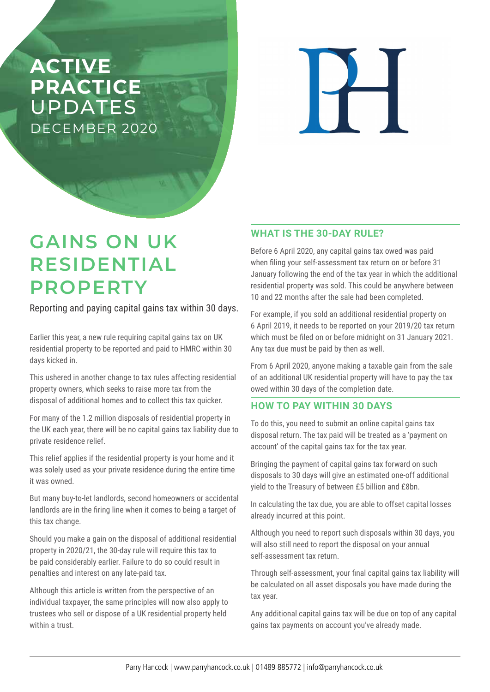## **ACTIVE PRACTICE**  UPDATES DECEMBER 2020

 $\overline{\mathbf{H}}$ 

# **GAINS ON UK RESIDENTIAL PROPERTY**

Reporting and paying capital gains tax within 30 days.

Earlier this year, a new rule requiring capital gains tax on UK residential property to be reported and paid to HMRC within 30 days kicked in.

This ushered in another change to tax rules affecting residential property owners, which seeks to raise more tax from the disposal of additional homes and to collect this tax quicker.

For many of the 1.2 million disposals of residential property in the UK each year, there will be no capital gains tax liability due to private residence relief.

This relief applies if the residential property is your home and it was solely used as your private residence during the entire time it was owned.

But many buy-to-let landlords, second homeowners or accidental landlords are in the firing line when it comes to being a target of this tax change.

Should you make a gain on the disposal of additional residential property in 2020/21, the 30-day rule will require this tax to be paid considerably earlier. Failure to do so could result in penalties and interest on any late-paid tax.

Although this article is written from the perspective of an individual taxpayer, the same principles will now also apply to trustees who sell or dispose of a UK residential property held within a trust.

### **WHAT IS THE 30-DAY RULE?**

Before 6 April 2020, any capital gains tax owed was paid when filing your self-assessment tax return on or before 31 January following the end of the tax year in which the additional residential property was sold. This could be anywhere between 10 and 22 months after the sale had been completed.

For example, if you sold an additional residential property on 6 April 2019, it needs to be reported on your 2019/20 tax return which must be filed on or before midnight on 31 January 2021. Any tax due must be paid by then as well.

From 6 April 2020, anyone making a taxable gain from the sale of an additional UK residential property will have to pay the tax owed within 30 days of the completion date.

### **HOW TO PAY WITHIN 30 DAYS**

To do this, you need to submit an online capital gains tax disposal return. The tax paid will be treated as a 'payment on account' of the capital gains tax for the tax year.

Bringing the payment of capital gains tax forward on such disposals to 30 days will give an estimated one-off additional yield to the Treasury of between £5 billion and £8bn.

In calculating the tax due, you are able to offset capital losses already incurred at this point.

Although you need to report such disposals within 30 days, you will also still need to report the disposal on your annual self-assessment tax return.

Through self-assessment, your final capital gains tax liability will be calculated on all asset disposals you have made during the tax year.

Any additional capital gains tax will be due on top of any capital gains tax payments on account you've already made.